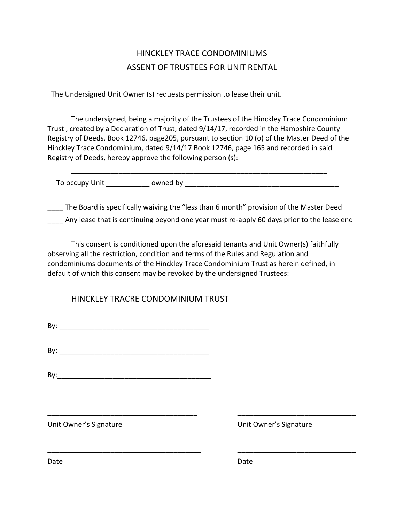## HINCKLEY TRACE CONDOMINIUMS ASSENT OF TRUSTEES FOR UNIT RENTAL

The Undersigned Unit Owner (s) requests permission to lease their unit.

The undersigned, being a majority of the Trustees of the Hinckley Trace Condominium Trust , created by a Declaration of Trust, dated 9/14/17, recorded in the Hampshire County Registry of Deeds. Book 12746, page205, pursuant to section 10 (o) of the Master Deed of the Hinckley Trace Condominium, dated 9/14/17 Book 12746, page 165 and recorded in said Registry of Deeds, hereby approve the following person (s):

\_\_\_\_\_\_\_\_\_\_\_\_\_\_\_\_\_\_\_\_\_\_\_\_\_\_\_\_\_\_\_\_\_\_\_\_\_\_\_\_\_\_\_\_\_\_\_\_\_\_\_\_\_\_\_\_\_\_\_\_\_\_\_\_\_ To occupy Unit To owned by a community owned by  $\sim$ 

\_\_\_\_ The Board is specifically waiving the "less than 6 month" provision of the Master Deed \_\_\_\_ Any lease that is continuing beyond one year must re-apply 60 days prior to the lease end

This consent is conditioned upon the aforesaid tenants and Unit Owner(s) faithfully observing all the restriction, condition and terms of the Rules and Regulation and condominiums documents of the Hinckley Trace Condominium Trust as herein defined, in default of which this consent may be revoked by the undersigned Trustees:

\_\_\_\_\_\_\_\_\_\_\_\_\_\_\_\_\_\_\_\_\_\_\_\_\_\_\_\_\_\_\_\_\_\_\_\_\_\_ \_\_\_\_\_\_\_\_\_\_\_\_\_\_\_\_\_\_\_\_\_\_\_\_\_\_\_\_\_\_

\_\_\_\_\_\_\_\_\_\_\_\_\_\_\_\_\_\_\_\_\_\_\_\_\_\_\_\_\_\_\_\_\_\_\_\_\_\_\_ \_\_\_\_\_\_\_\_\_\_\_\_\_\_\_\_\_\_\_\_\_\_\_\_\_\_\_\_\_\_

HINCKLEY TRACRE CONDOMINIUM TRUST

By: \_\_\_\_\_\_\_\_\_\_\_\_\_\_\_\_\_\_\_\_\_\_\_\_\_\_\_\_\_\_\_\_\_\_\_\_\_\_

By: \_\_\_\_\_\_\_\_\_\_\_\_\_\_\_\_\_\_\_\_\_\_\_\_\_\_\_\_\_\_\_\_\_\_\_\_\_\_

 $\mathsf{By:}$ 

Unit Owner's Signature Unit Owner's Signature

Date **Date** Date **Date** Date **Date** Date **Date**